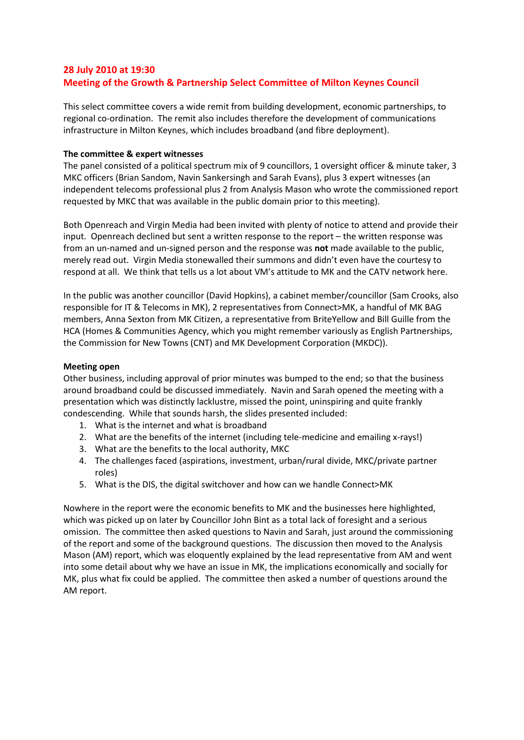# **28 July 2010 at 19:30 Meeting of the Growth & Partnership Select Committee of Milton Keynes Council**

This select committee covers a wide remit from building development, economic partnerships, to regional co-ordination. The remit also includes therefore the development of communications infrastructure in Milton Keynes, which includes broadband (and fibre deployment).

## **The committee & expert witnesses**

The panel consisted of a political spectrum mix of 9 councillors, 1 oversight officer & minute taker, 3 MKC officers (Brian Sandom, Navin Sankersingh and Sarah Evans), plus 3 expert witnesses (an independent telecoms professional plus 2 from Analysis Mason who wrote the commissioned report requested by MKC that was available in the public domain prior to this meeting).

Both Openreach and Virgin Media had been invited with plenty of notice to attend and provide their input. Openreach declined but sent a written response to the report – the written response was from an un-named and un-signed person and the response was **not** made available to the public, merely read out. Virgin Media stonewalled their summons and didn't even have the courtesy to respond at all. We think that tells us a lot about VM's attitude to MK and the CATV network here.

In the public was another councillor (David Hopkins), a cabinet member/councillor (Sam Crooks, also responsible for IT & Telecoms in MK), 2 representatives from Connect>MK, a handful of MK BAG members, Anna Sexton from MK Citizen, a representative from BriteYellow and Bill Guille from the HCA (Homes & Communities Agency, which you might remember variously as English Partnerships, the Commission for New Towns (CNT) and MK Development Corporation (MKDC)).

## **Meeting open**

Other business, including approval of prior minutes was bumped to the end; so that the business around broadband could be discussed immediately. Navin and Sarah opened the meeting with a presentation which was distinctly lacklustre, missed the point, uninspiring and quite frankly condescending. While that sounds harsh, the slides presented included:

- 1. What is the internet and what is broadband
- 2. What are the benefits of the internet (including tele-medicine and emailing x-rays!)
- 3. What are the benefits to the local authority, MKC
- 4. The challenges faced (aspirations, investment, urban/rural divide, MKC/private partner roles)
- 5. What is the DIS, the digital switchover and how can we handle Connect>MK

Nowhere in the report were the economic benefits to MK and the businesses here highlighted, which was picked up on later by Councillor John Bint as a total lack of foresight and a serious omission. The committee then asked questions to Navin and Sarah, just around the commissioning of the report and some of the background questions. The discussion then moved to the Analysis Mason (AM) report, which was eloquently explained by the lead representative from AM and went into some detail about why we have an issue in MK, the implications economically and socially for MK, plus what fix could be applied. The committee then asked a number of questions around the AM report.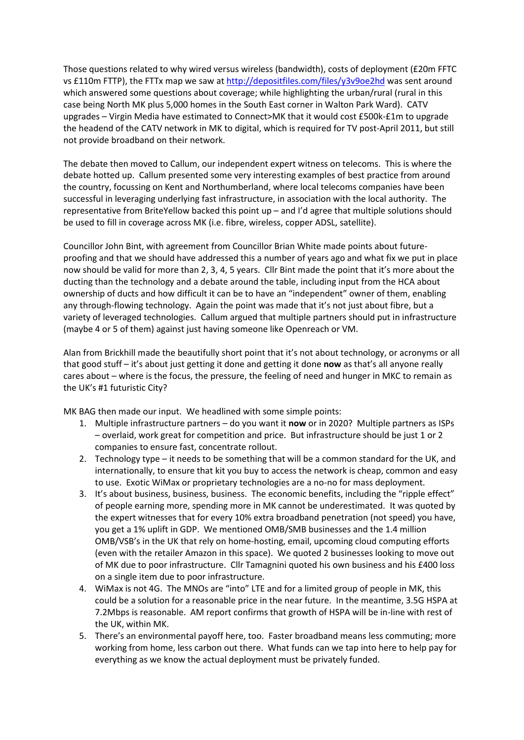Those questions related to why wired versus wireless (bandwidth), costs of deployment (£20m FFTC vs £110m FTTP), the FTTx map we saw a[t http://depositfiles.com/files/y3v9oe2hd](http://depositfiles.com/files/y3v9oe2hd) was sent around which answered some questions about coverage; while highlighting the urban/rural (rural in this case being North MK plus 5,000 homes in the South East corner in Walton Park Ward). CATV upgrades – Virgin Media have estimated to Connect>MK that it would cost £500k-£1m to upgrade the headend of the CATV network in MK to digital, which is required for TV post-April 2011, but still not provide broadband on their network.

The debate then moved to Callum, our independent expert witness on telecoms. This is where the debate hotted up. Callum presented some very interesting examples of best practice from around the country, focussing on Kent and Northumberland, where local telecoms companies have been successful in leveraging underlying fast infrastructure, in association with the local authority. The representative from BriteYellow backed this point up – and I'd agree that multiple solutions should be used to fill in coverage across MK (i.e. fibre, wireless, copper ADSL, satellite).

Councillor John Bint, with agreement from Councillor Brian White made points about futureproofing and that we should have addressed this a number of years ago and what fix we put in place now should be valid for more than 2, 3, 4, 5 years. Cllr Bint made the point that it's more about the ducting than the technology and a debate around the table, including input from the HCA about ownership of ducts and how difficult it can be to have an "independent" owner of them, enabling any through-flowing technology. Again the point was made that it's not just about fibre, but a variety of leveraged technologies. Callum argued that multiple partners should put in infrastructure (maybe 4 or 5 of them) against just having someone like Openreach or VM.

Alan from Brickhill made the beautifully short point that it's not about technology, or acronyms or all that good stuff – it's about just getting it done and getting it done **now** as that's all anyone really cares about – where is the focus, the pressure, the feeling of need and hunger in MKC to remain as the UK's #1 futuristic City?

MK BAG then made our input. We headlined with some simple points:

- 1. Multiple infrastructure partners do you want it **now** or in 2020? Multiple partners as ISPs – overlaid, work great for competition and price. But infrastructure should be just 1 or 2 companies to ensure fast, concentrate rollout.
- 2. Technology type it needs to be something that will be a common standard for the UK, and internationally, to ensure that kit you buy to access the network is cheap, common and easy to use. Exotic WiMax or proprietary technologies are a no-no for mass deployment.
- 3. It's about business, business, business. The economic benefits, including the "ripple effect" of people earning more, spending more in MK cannot be underestimated. It was quoted by the expert witnesses that for every 10% extra broadband penetration (not speed) you have, you get a 1% uplift in GDP. We mentioned OMB/SMB businesses and the 1.4 million OMB/VSB's in the UK that rely on home-hosting, email, upcoming cloud computing efforts (even with the retailer Amazon in this space). We quoted 2 businesses looking to move out of MK due to poor infrastructure. Cllr Tamagnini quoted his own business and his £400 loss on a single item due to poor infrastructure.
- 4. WiMax is not 4G. The MNOs are "into" LTE and for a limited group of people in MK, this could be a solution for a reasonable price in the near future. In the meantime, 3.5G HSPA at 7.2Mbps is reasonable. AM report confirms that growth of HSPA will be in-line with rest of the UK, within MK.
- 5. There's an environmental payoff here, too. Faster broadband means less commuting; more working from home, less carbon out there. What funds can we tap into here to help pay for everything as we know the actual deployment must be privately funded.